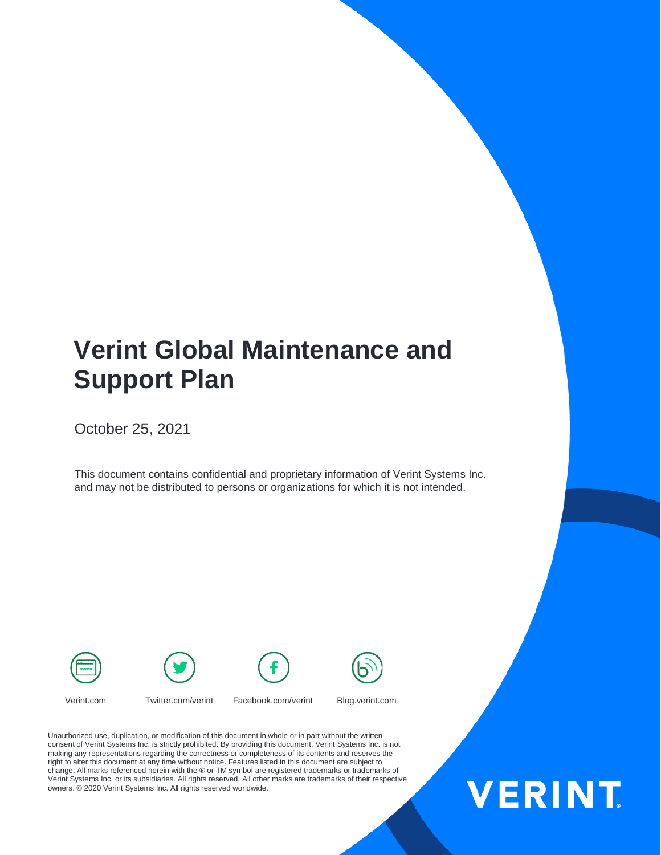## **Verint Global Maintenance and Support Plan**

October 25, 2021

This document contains confidential and proprietary information of Verint Systems Inc. and may not be distributed to persons or organizations for which it is not intended.





Verint.com Twitter.com/verint Facebook.com/verint Blog.verint.com

right to alter this document at any time without notice. Features listed in this document are subject to<br>change. All marks referenced herein with the ® or TM symbol are registered trademarks or trademarks of Verint Systems Inc. or its subsidiaries. All rights reserved. All other marks are trademarks of their respective Unauthorized use, duplication, or modification of this document in whole or in part without the written consent of Verint Systems Inc. is strictly prohibited. By providing this document, Verint Systems Inc. is not making any representations regarding the correctness or completeness of its contents and reserves the change. All marks referenced herein with the ® or TM symbol are registered trademarks or trademarks of owners. © 2020 Verint Systems Inc. All rights reserved worldwide.

# **VERINT.**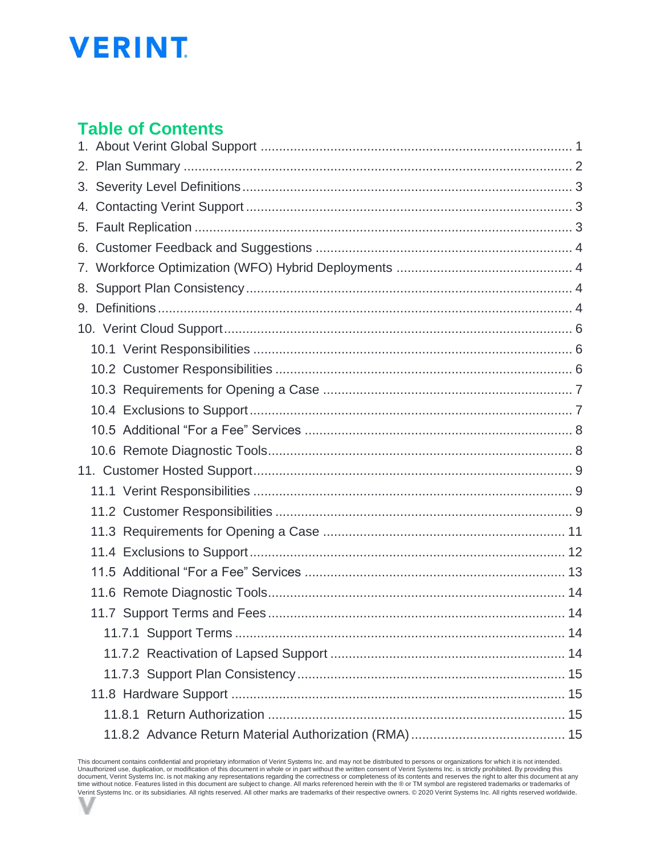## **VERINT**

## **Table of Contents**

This document contains confidential and proprietary information of Verint Systems Inc. and may not be distributed to persons or organizations for which it is not intended.<br>Unauthorized use, duplication, or modification of Verint Systems Inc. or its subsidiaries. All rights reserved. All other marks are trademarks of their respective owners. © 2020 Verint Systems Inc. All rights reserved worldwide.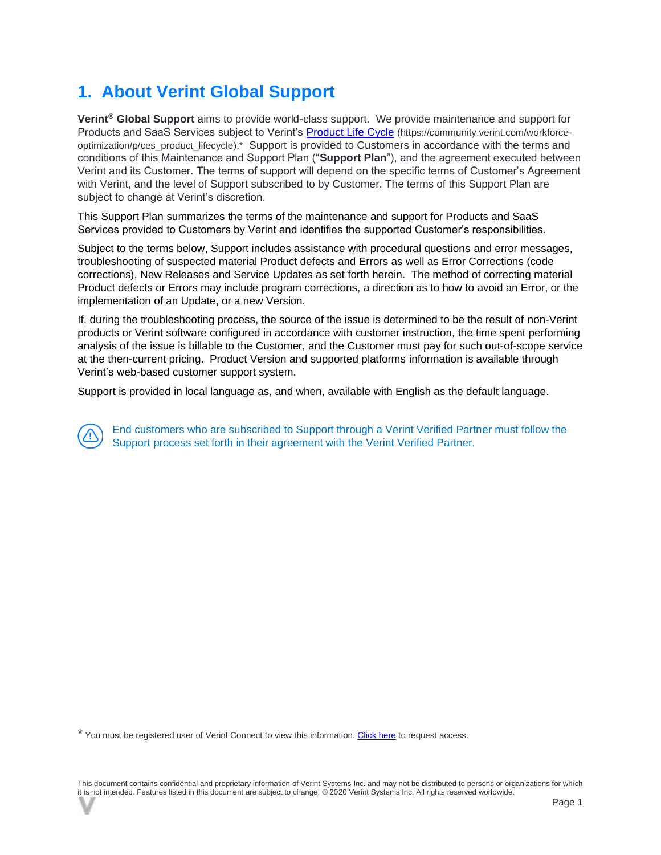## <span id="page-2-0"></span>**1. About Verint Global Support**

**Verint® Global Support** aims to provide world-class support. We provide maintenance and support for Products and SaaS Services subject to Verint's [Product Life Cycle](https://community.verint.com/support/p/ces_product_lifecycle) (https://community.verint.com/workforceoptimization/p/ces\_product\_lifecycle).\* Support is provided to Customers in accordance with the terms and conditions of this Maintenance and Support Plan ("**Support Plan**"), and the agreement executed between Verint and its Customer. The terms of support will depend on the specific terms of Customer's Agreement with Verint, and the level of Support subscribed to by Customer. The terms of this Support Plan are subject to change at Verint's discretion.

This Support Plan summarizes the terms of the maintenance and support for Products and SaaS Services provided to Customers by Verint and identifies the supported Customer's responsibilities.

Subject to the terms below, Support includes assistance with procedural questions and error messages, troubleshooting of suspected material Product defects and Errors as well as Error Corrections (code corrections), New Releases and Service Updates as set forth herein. The method of correcting material Product defects or Errors may include program corrections, a direction as to how to avoid an Error, or the implementation of an Update, or a new Version.

If, during the troubleshooting process, the source of the issue is determined to be the result of non-Verint products or Verint software configured in accordance with customer instruction, the time spent performing analysis of the issue is billable to the Customer, and the Customer must pay for such out-of-scope service at the then-current pricing. Product Version and supported platforms information is available through Verint's web-based customer support system.

Support is provided in local language as, and when, available with English as the default language.

End customers who are subscribed to Support through a Verint Verified Partner must follow the Support process set forth in their agreement with the Verint Verified Partner.

\* You must be registered user of Verint Connect to view this information. [Click here](https://www.verint.com/engagement/registration/?_ga=2.20285752.1802967156.1583262147-793285689.1578407297) to request access.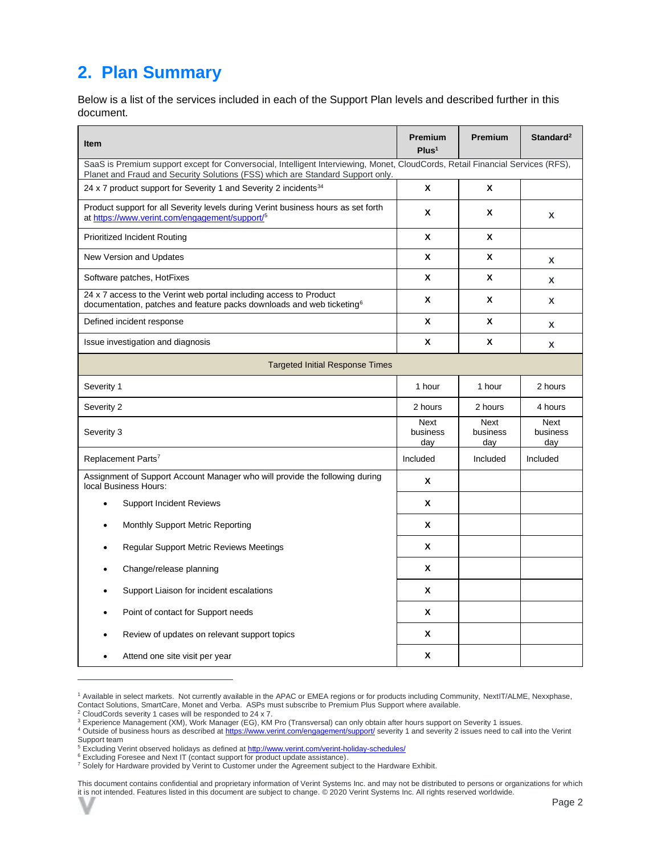## <span id="page-3-0"></span>**2. Plan Summary**

Below is a list of the services included in each of the Support Plan levels and described further in this document.

| Item                                                                                                                                                                                                             | <b>Premium</b><br>Plus <sup>1</sup> | <b>Premium</b>          | Standard <sup>2</sup>   |  |  |
|------------------------------------------------------------------------------------------------------------------------------------------------------------------------------------------------------------------|-------------------------------------|-------------------------|-------------------------|--|--|
| SaaS is Premium support except for Conversocial, Intelligent Interviewing, Monet, CloudCords, Retail Financial Services (RFS),<br>Planet and Fraud and Security Solutions (FSS) which are Standard Support only. |                                     |                         |                         |  |  |
| 24 x 7 product support for Severity 1 and Severity 2 incidents <sup>34</sup>                                                                                                                                     | X                                   | X                       |                         |  |  |
| Product support for all Severity levels during Verint business hours as set forth<br>at https://www.verint.com/engagement/support/ <sup>5</sup>                                                                  | X                                   | X                       | X                       |  |  |
| <b>Prioritized Incident Routing</b>                                                                                                                                                                              | X                                   | X                       |                         |  |  |
| New Version and Updates                                                                                                                                                                                          | X                                   | X                       | X                       |  |  |
| Software patches, HotFixes                                                                                                                                                                                       | X                                   | X                       | X                       |  |  |
| 24 x 7 access to the Verint web portal including access to Product<br>documentation, patches and feature packs downloads and web ticketing <sup>6</sup>                                                          | X                                   | X                       | X                       |  |  |
| Defined incident response                                                                                                                                                                                        | X                                   | X                       | X                       |  |  |
| Issue investigation and diagnosis                                                                                                                                                                                | X                                   | X                       | X                       |  |  |
| <b>Targeted Initial Response Times</b>                                                                                                                                                                           |                                     |                         |                         |  |  |
| Severity 1                                                                                                                                                                                                       | 1 hour                              | 1 hour                  | 2 hours                 |  |  |
| Severity 2                                                                                                                                                                                                       | 2 hours                             | 2 hours                 | 4 hours                 |  |  |
| Severity 3                                                                                                                                                                                                       | <b>Next</b><br>business<br>day      | Next<br>business<br>day | Next<br>business<br>day |  |  |
| Replacement Parts <sup>7</sup>                                                                                                                                                                                   | Included                            | Included                | Included                |  |  |
| Assignment of Support Account Manager who will provide the following during<br>local Business Hours:                                                                                                             | X                                   |                         |                         |  |  |
| <b>Support Incident Reviews</b><br>$\bullet$                                                                                                                                                                     | X                                   |                         |                         |  |  |
| Monthly Support Metric Reporting                                                                                                                                                                                 | X                                   |                         |                         |  |  |
| <b>Regular Support Metric Reviews Meetings</b>                                                                                                                                                                   | x                                   |                         |                         |  |  |
| Change/release planning                                                                                                                                                                                          | X                                   |                         |                         |  |  |
| Support Liaison for incident escalations                                                                                                                                                                         | X                                   |                         |                         |  |  |
| Point of contact for Support needs                                                                                                                                                                               | X                                   |                         |                         |  |  |
| Review of updates on relevant support topics                                                                                                                                                                     | X                                   |                         |                         |  |  |
| Attend one site visit per year                                                                                                                                                                                   | X                                   |                         |                         |  |  |

<sup>&</sup>lt;sup>1</sup> Available in select markets. Not currently available in the APAC or EMEA regions or for products including Community, NextIT/ALME, Nexxphase, Contact Solutions, SmartCare, Monet and Verba. ASPs must subscribe to Premium Plus Support where available.

<sup>2</sup> CloudCords severity 1 cases will be responded to 24 x 7.

<sup>3</sup> Experience Management (XM), Work Manager (EG), KM Pro (Transversal) can only obtain after hours support on Severity 1 issues.

<sup>4</sup> Outside of business hours as described a[t https://www.verint.com/engagement/support/](https://www.verint.com/engagement/support/) severity 1 and severity 2 issues need to call into the Verint Support team

<sup>&</sup>lt;sup>5</sup> Excluding Verint observed holidays as defined a[t http://www.verint.com/verint-holiday-schedules/](http://www.verint.com/verint-holiday-schedules/)

<sup>&</sup>lt;sup>6</sup> Excluding Foresee and Next IT (contact support for product update assistance).

<sup>7</sup> Solely for Hardware provided by Verint to Customer under the Agreement subject to the Hardware Exhibit.

This document contains confidential and proprietary information of Verint Systems Inc. and may not be distributed to persons or organizations for which it is not intended. Features listed in this document are subject to change. © 2020 Verint Systems Inc. All rights reserved worldwide.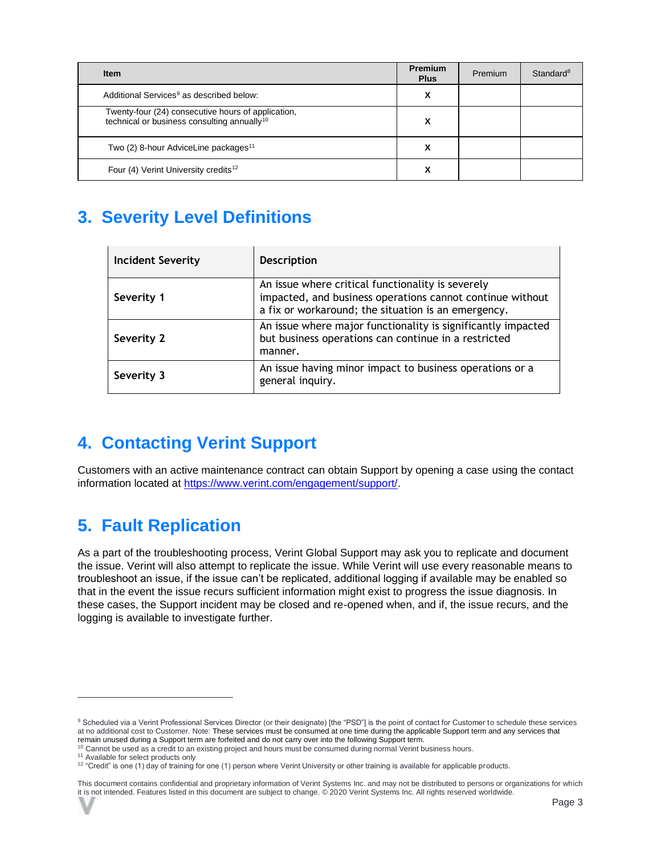| <b>Item</b>                                                                                                   | Premium<br><b>Plus</b> | Premium | Standard <sup>8</sup> |
|---------------------------------------------------------------------------------------------------------------|------------------------|---------|-----------------------|
| Additional Services <sup>9</sup> as described below:                                                          | х                      |         |                       |
| Twenty-four (24) consecutive hours of application,<br>technical or business consulting annually <sup>10</sup> |                        |         |                       |
| Two (2) 8-hour AdviceLine packages <sup>11</sup>                                                              | х                      |         |                       |
| Four (4) Verint University credits <sup>12</sup>                                                              |                        |         |                       |

## <span id="page-4-0"></span>**3. Severity Level Definitions**

| <b>Incident Severity</b> | <b>Description</b>                                                                                                                                                    |
|--------------------------|-----------------------------------------------------------------------------------------------------------------------------------------------------------------------|
| Severity 1               | An issue where critical functionality is severely<br>impacted, and business operations cannot continue without<br>a fix or workaround; the situation is an emergency. |
| Severity 2               | An issue where major functionality is significantly impacted<br>but business operations can continue in a restricted<br>manner.                                       |
| Severity 3               | An issue having minor impact to business operations or a<br>general inquiry.                                                                                          |

## <span id="page-4-1"></span>**4. Contacting Verint Support**

Customers with an active maintenance contract can obtain Support by opening a case using the contact information located at [https://www.verint.com/engagement/support/.](https://www.verint.com/engagement/support/)

## <span id="page-4-2"></span>**5. Fault Replication**

As a part of the troubleshooting process, Verint Global Support may ask you to replicate and document the issue. Verint will also attempt to replicate the issue. While Verint will use every reasonable means to troubleshoot an issue, if the issue can't be replicated, additional logging if available may be enabled so that in the event the issue recurs sufficient information might exist to progress the issue diagnosis. In these cases, the Support incident may be closed and re-opened when, and if, the issue recurs, and the logging is available to investigate further.

<sup>9</sup> Scheduled via a Verint Professional Services Director (or their designate) [the "PSD"] is the point of contact for Customer to schedule these services at no additional cost to Customer. Note: These services must be consumed at one time during the applicable Support term and any services that remain unused during a Support term are forfeited and do not carry over into the following Support term.

<sup>&</sup>lt;sup>10</sup> Cannot be used as a credit to an existing project and hours must be consumed during normal Verint business hours.

<sup>&</sup>lt;sup>11</sup> Available for select products only

<sup>12</sup> "Credit" is one (1) day of training for one (1) person where Verint University or other training is available for applicable products.

This document contains confidential and proprietary information of Verint Systems Inc. and may not be distributed to persons or organizations for which it is not intended. Features listed in this document are subject to change. © 2020 Verint Systems Inc. All rights reserved worldwide.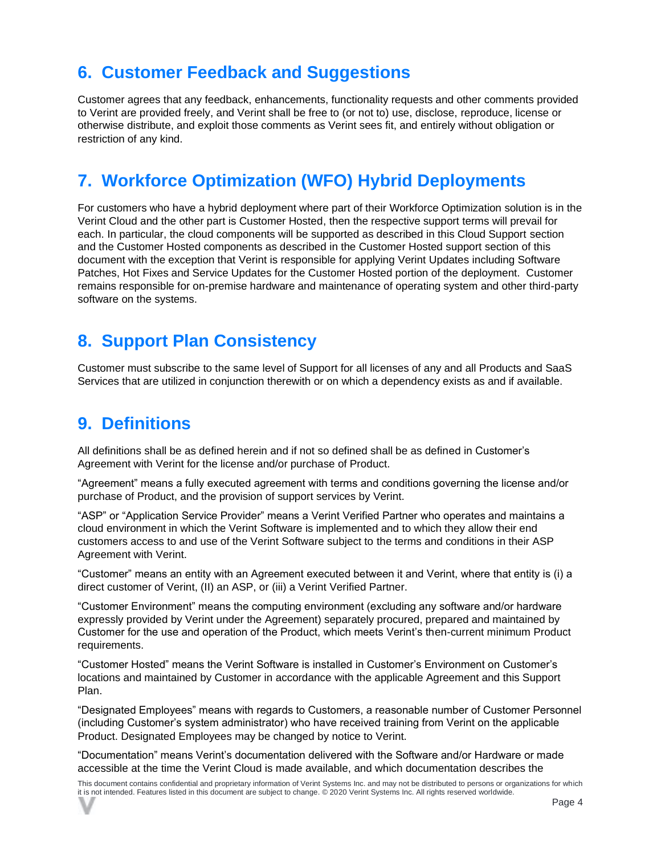## <span id="page-5-0"></span>**6. Customer Feedback and Suggestions**

Customer agrees that any feedback, enhancements, functionality requests and other comments provided to Verint are provided freely, and Verint shall be free to (or not to) use, disclose, reproduce, license or otherwise distribute, and exploit those comments as Verint sees fit, and entirely without obligation or restriction of any kind.

## <span id="page-5-1"></span>**7. Workforce Optimization (WFO) Hybrid Deployments**

For customers who have a hybrid deployment where part of their Workforce Optimization solution is in the Verint Cloud and the other part is Customer Hosted, then the respective support terms will prevail for each. In particular, the cloud components will be supported as described in this Cloud Support section and the Customer Hosted components as described in the Customer Hosted support section of this document with the exception that Verint is responsible for applying Verint Updates including Software Patches, Hot Fixes and Service Updates for the Customer Hosted portion of the deployment. Customer remains responsible for on-premise hardware and maintenance of operating system and other third-party software on the systems.

### <span id="page-5-2"></span>**8. Support Plan Consistency**

Customer must subscribe to the same level of Support for all licenses of any and all Products and SaaS Services that are utilized in conjunction therewith or on which a dependency exists as and if available.

### <span id="page-5-3"></span>**9. Definitions**

All definitions shall be as defined herein and if not so defined shall be as defined in Customer's Agreement with Verint for the license and/or purchase of Product.

"Agreement" means a fully executed agreement with terms and conditions governing the license and/or purchase of Product, and the provision of support services by Verint.

"ASP" or "Application Service Provider" means a Verint Verified Partner who operates and maintains a cloud environment in which the Verint Software is implemented and to which they allow their end customers access to and use of the Verint Software subject to the terms and conditions in their ASP Agreement with Verint.

"Customer" means an entity with an Agreement executed between it and Verint, where that entity is (i) a direct customer of Verint, (II) an ASP, or (iii) a Verint Verified Partner.

"Customer Environment" means the computing environment (excluding any software and/or hardware expressly provided by Verint under the Agreement) separately procured, prepared and maintained by Customer for the use and operation of the Product, which meets Verint's then-current minimum Product requirements.

"Customer Hosted" means the Verint Software is installed in Customer's Environment on Customer's locations and maintained by Customer in accordance with the applicable Agreement and this Support Plan.

"Designated Employees" means with regards to Customers, a reasonable number of Customer Personnel (including Customer's system administrator) who have received training from Verint on the applicable Product. Designated Employees may be changed by notice to Verint.

"Documentation" means Verint's documentation delivered with the Software and/or Hardware or made accessible at the time the Verint Cloud is made available, and which documentation describes the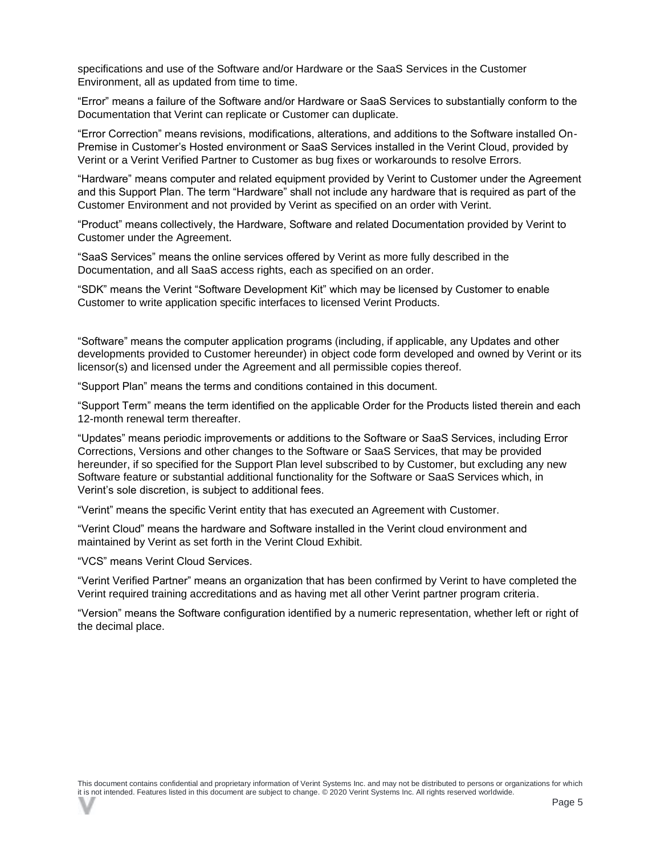specifications and use of the Software and/or Hardware or the SaaS Services in the Customer Environment, all as updated from time to time.

"Error" means a failure of the Software and/or Hardware or SaaS Services to substantially conform to the Documentation that Verint can replicate or Customer can duplicate.

"Error Correction" means revisions, modifications, alterations, and additions to the Software installed On-Premise in Customer's Hosted environment or SaaS Services installed in the Verint Cloud, provided by Verint or a Verint Verified Partner to Customer as bug fixes or workarounds to resolve Errors.

"Hardware" means computer and related equipment provided by Verint to Customer under the Agreement and this Support Plan. The term "Hardware" shall not include any hardware that is required as part of the Customer Environment and not provided by Verint as specified on an order with Verint.

"Product" means collectively, the Hardware, Software and related Documentation provided by Verint to Customer under the Agreement.

"SaaS Services" means the online services offered by Verint as more fully described in the Documentation, and all SaaS access rights, each as specified on an order.

"SDK" means the Verint "Software Development Kit" which may be licensed by Customer to enable Customer to write application specific interfaces to licensed Verint Products.

"Software" means the computer application programs (including, if applicable, any Updates and other developments provided to Customer hereunder) in object code form developed and owned by Verint or its licensor(s) and licensed under the Agreement and all permissible copies thereof.

"Support Plan" means the terms and conditions contained in this document.

"Support Term" means the term identified on the applicable Order for the Products listed therein and each 12-month renewal term thereafter.

"Updates" means periodic improvements or additions to the Software or SaaS Services, including Error Corrections, Versions and other changes to the Software or SaaS Services, that may be provided hereunder, if so specified for the Support Plan level subscribed to by Customer, but excluding any new Software feature or substantial additional functionality for the Software or SaaS Services which, in Verint's sole discretion, is subject to additional fees.

"Verint" means the specific Verint entity that has executed an Agreement with Customer.

"Verint Cloud" means the hardware and Software installed in the Verint cloud environment and maintained by Verint as set forth in the Verint Cloud Exhibit.

"VCS" means Verint Cloud Services.

"Verint Verified Partner" means an organization that has been confirmed by Verint to have completed the Verint required training accreditations and as having met all other Verint partner program criteria.

"Version" means the Software configuration identified by a numeric representation, whether left or right of the decimal place.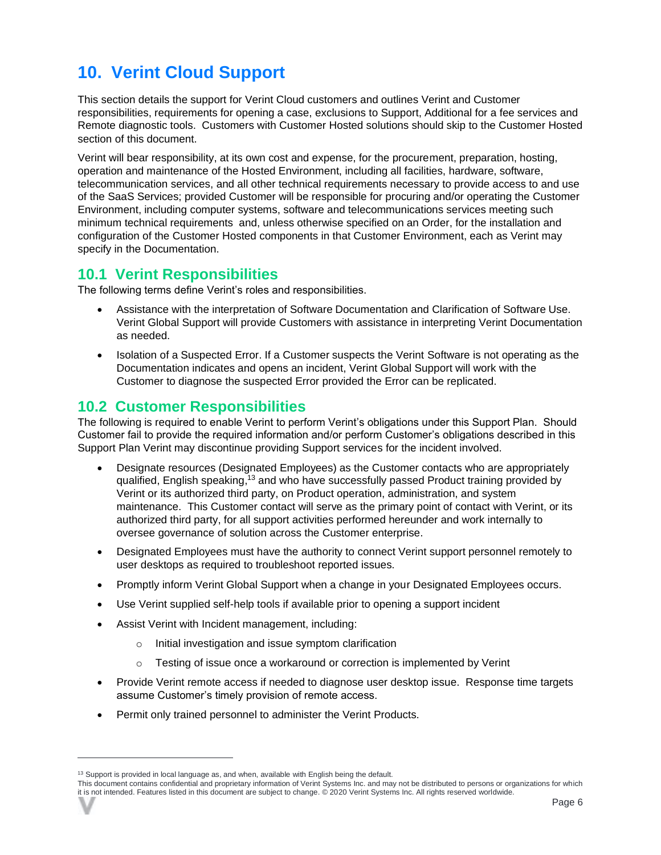## <span id="page-7-0"></span>**10. Verint Cloud Support**

This section details the support for Verint Cloud customers and outlines Verint and Customer responsibilities, requirements for opening a case, exclusions to Support, Additional for a fee services and Remote diagnostic tools. Customers with Customer Hosted solutions should skip to the Customer Hosted section of this document.

Verint will bear responsibility, at its own cost and expense, for the procurement, preparation, hosting, operation and maintenance of the Hosted Environment, including all facilities, hardware, software, telecommunication services, and all other technical requirements necessary to provide access to and use of the SaaS Services; provided Customer will be responsible for procuring and/or operating the Customer Environment, including computer systems, software and telecommunications services meeting such minimum technical requirements and, unless otherwise specified on an Order, for the installation and configuration of the Customer Hosted components in that Customer Environment, each as Verint may specify in the Documentation.

#### <span id="page-7-1"></span>**10.1 Verint Responsibilities**

The following terms define Verint's roles and responsibilities.

- Assistance with the interpretation of Software Documentation and Clarification of Software Use. Verint Global Support will provide Customers with assistance in interpreting Verint Documentation as needed.
- Isolation of a Suspected Error. If a Customer suspects the Verint Software is not operating as the Documentation indicates and opens an incident, Verint Global Support will work with the Customer to diagnose the suspected Error provided the Error can be replicated.

#### <span id="page-7-2"></span>**10.2 Customer Responsibilities**

The following is required to enable Verint to perform Verint's obligations under this Support Plan. Should Customer fail to provide the required information and/or perform Customer's obligations described in this Support Plan Verint may discontinue providing Support services for the incident involved.

- Designate resources (Designated Employees) as the Customer contacts who are appropriately qualified, English speaking,<sup>13</sup> and who have successfully passed Product training provided by Verint or its authorized third party, on Product operation, administration, and system maintenance. This Customer contact will serve as the primary point of contact with Verint, or its authorized third party, for all support activities performed hereunder and work internally to oversee governance of solution across the Customer enterprise.
- Designated Employees must have the authority to connect Verint support personnel remotely to user desktops as required to troubleshoot reported issues.
- Promptly inform Verint Global Support when a change in your Designated Employees occurs.
- Use Verint supplied self-help tools if available prior to opening a support incident
- Assist Verint with Incident management, including:
	- o Initial investigation and issue symptom clarification
	- o Testing of issue once a workaround or correction is implemented by Verint
- Provide Verint remote access if needed to diagnose user desktop issue. Response time targets assume Customer's timely provision of remote access.
- Permit only trained personnel to administer the Verint Products.

<sup>&</sup>lt;sup>13</sup> Support is provided in local language as, and when, available with English being the default.

This document contains confidential and proprietary information of Verint Systems Inc. and may not be distributed to persons or organizations for which it is not intended. Features listed in this document are subject to change. © 2020 Verint Systems Inc. All rights reserved worldwide.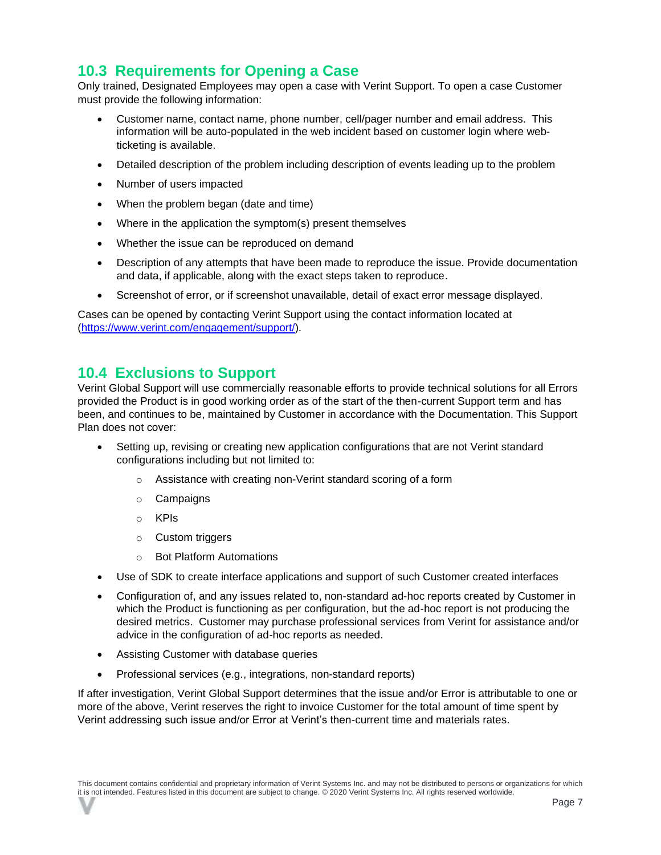#### <span id="page-8-0"></span>**10.3 Requirements for Opening a Case**

Only trained, Designated Employees may open a case with Verint Support. To open a case Customer must provide the following information:

- Customer name, contact name, phone number, cell/pager number and email address. This information will be auto-populated in the web incident based on customer login where webticketing is available.
- Detailed description of the problem including description of events leading up to the problem
- Number of users impacted
- When the problem began (date and time)
- Where in the application the symptom(s) present themselves
- Whether the issue can be reproduced on demand
- Description of any attempts that have been made to reproduce the issue. Provide documentation and data, if applicable, along with the exact steps taken to reproduce.
- Screenshot of error, or if screenshot unavailable, detail of exact error message displayed.

Cases can be opened by contacting Verint Support using the contact information located at [\(https://www.verint.com/engagement/support/\)](https://www.verint.com/engagement/support/).

#### <span id="page-8-1"></span>**10.4 Exclusions to Support**

Verint Global Support will use commercially reasonable efforts to provide technical solutions for all Errors provided the Product is in good working order as of the start of the then-current Support term and has been, and continues to be, maintained by Customer in accordance with the Documentation. This Support Plan does not cover:

- Setting up, revising or creating new application configurations that are not Verint standard configurations including but not limited to:
	- o Assistance with creating non-Verint standard scoring of a form
	- o Campaigns
	- o KPIs
	- o Custom triggers
	- o Bot Platform Automations
- Use of SDK to create interface applications and support of such Customer created interfaces
- Configuration of, and any issues related to, non-standard ad-hoc reports created by Customer in which the Product is functioning as per configuration, but the ad-hoc report is not producing the desired metrics. Customer may purchase professional services from Verint for assistance and/or advice in the configuration of ad-hoc reports as needed.
- Assisting Customer with database queries
- Professional services (e.g., integrations, non-standard reports)

If after investigation, Verint Global Support determines that the issue and/or Error is attributable to one or more of the above, Verint reserves the right to invoice Customer for the total amount of time spent by Verint addressing such issue and/or Error at Verint's then-current time and materials rates.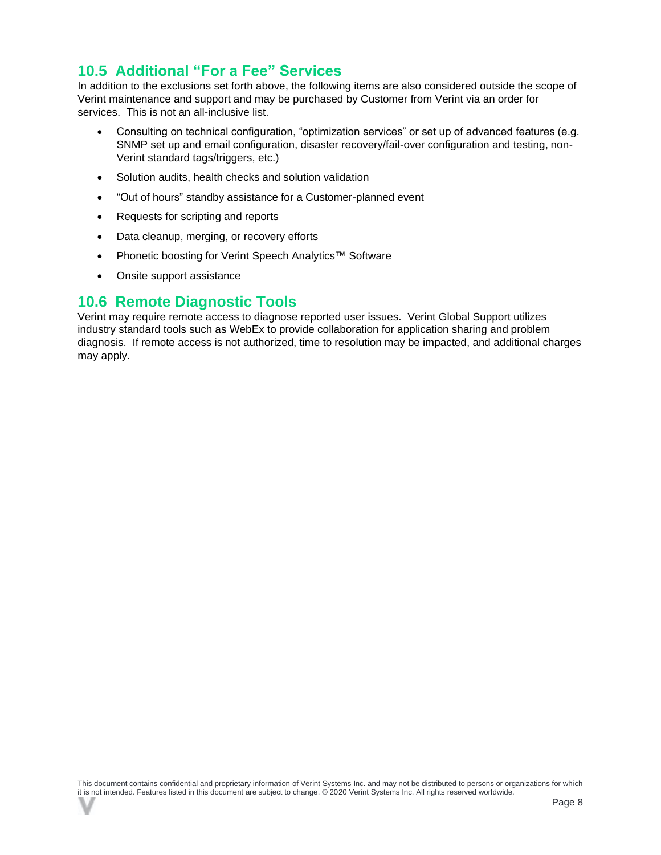#### <span id="page-9-0"></span>**10.5 Additional "For a Fee" Services**

In addition to the exclusions set forth above, the following items are also considered outside the scope of Verint maintenance and support and may be purchased by Customer from Verint via an order for services. This is not an all-inclusive list.

- Consulting on technical configuration, "optimization services" or set up of advanced features (e.g. SNMP set up and email configuration, disaster recovery/fail-over configuration and testing, non-Verint standard tags/triggers, etc.)
- Solution audits, health checks and solution validation
- "Out of hours" standby assistance for a Customer-planned event
- Requests for scripting and reports
- Data cleanup, merging, or recovery efforts
- Phonetic boosting for Verint Speech Analytics™ Software
- Onsite support assistance

#### <span id="page-9-1"></span>**10.6 Remote Diagnostic Tools**

Verint may require remote access to diagnose reported user issues. Verint Global Support utilizes industry standard tools such as WebEx to provide collaboration for application sharing and problem diagnosis. If remote access is not authorized, time to resolution may be impacted, and additional charges may apply.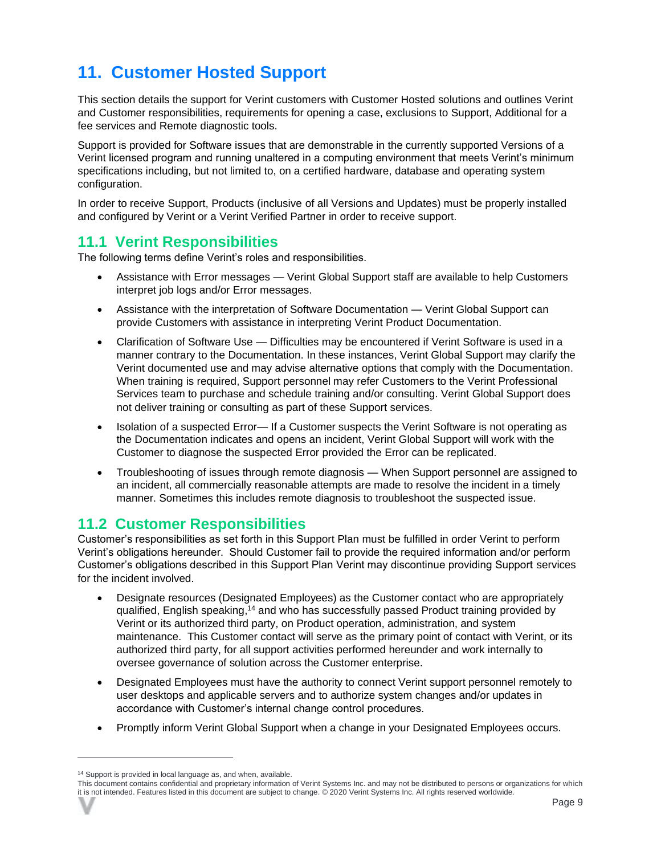## <span id="page-10-0"></span>**11. Customer Hosted Support**

This section details the support for Verint customers with Customer Hosted solutions and outlines Verint and Customer responsibilities, requirements for opening a case, exclusions to Support, Additional for a fee services and Remote diagnostic tools.

Support is provided for Software issues that are demonstrable in the currently supported Versions of a Verint licensed program and running unaltered in a computing environment that meets Verint's minimum specifications including, but not limited to, on a certified hardware, database and operating system configuration.

In order to receive Support, Products (inclusive of all Versions and Updates) must be properly installed and configured by Verint or a Verint Verified Partner in order to receive support.

#### <span id="page-10-1"></span>**11.1 Verint Responsibilities**

The following terms define Verint's roles and responsibilities.

- Assistance with Error messages Verint Global Support staff are available to help Customers interpret job logs and/or Error messages.
- Assistance with the interpretation of Software Documentation Verint Global Support can provide Customers with assistance in interpreting Verint Product Documentation.
- Clarification of Software Use Difficulties may be encountered if Verint Software is used in a manner contrary to the Documentation. In these instances, Verint Global Support may clarify the Verint documented use and may advise alternative options that comply with the Documentation. When training is required, Support personnel may refer Customers to the Verint Professional Services team to purchase and schedule training and/or consulting. Verint Global Support does not deliver training or consulting as part of these Support services.
- Isolation of a suspected Error— If a Customer suspects the Verint Software is not operating as the Documentation indicates and opens an incident, Verint Global Support will work with the Customer to diagnose the suspected Error provided the Error can be replicated.
- Troubleshooting of issues through remote diagnosis When Support personnel are assigned to an incident, all commercially reasonable attempts are made to resolve the incident in a timely manner. Sometimes this includes remote diagnosis to troubleshoot the suspected issue.

#### <span id="page-10-2"></span>**11.2 Customer Responsibilities**

Customer's responsibilities as set forth in this Support Plan must be fulfilled in order Verint to perform Verint's obligations hereunder. Should Customer fail to provide the required information and/or perform Customer's obligations described in this Support Plan Verint may discontinue providing Support services for the incident involved.

- Designate resources (Designated Employees) as the Customer contact who are appropriately qualified, English speaking,<sup>14</sup> and who has successfully passed Product training provided by Verint or its authorized third party, on Product operation, administration, and system maintenance. This Customer contact will serve as the primary point of contact with Verint, or its authorized third party, for all support activities performed hereunder and work internally to oversee governance of solution across the Customer enterprise.
- Designated Employees must have the authority to connect Verint support personnel remotely to user desktops and applicable servers and to authorize system changes and/or updates in accordance with Customer's internal change control procedures.
- Promptly inform Verint Global Support when a change in your Designated Employees occurs.

<sup>&</sup>lt;sup>14</sup> Support is provided in local language as, and when, available.

This document contains confidential and proprietary information of Verint Systems Inc. and may not be distributed to persons or organizations for which it is not intended. Features listed in this document are subject to change. © 2020 Verint Systems Inc. All rights reserved worldwide.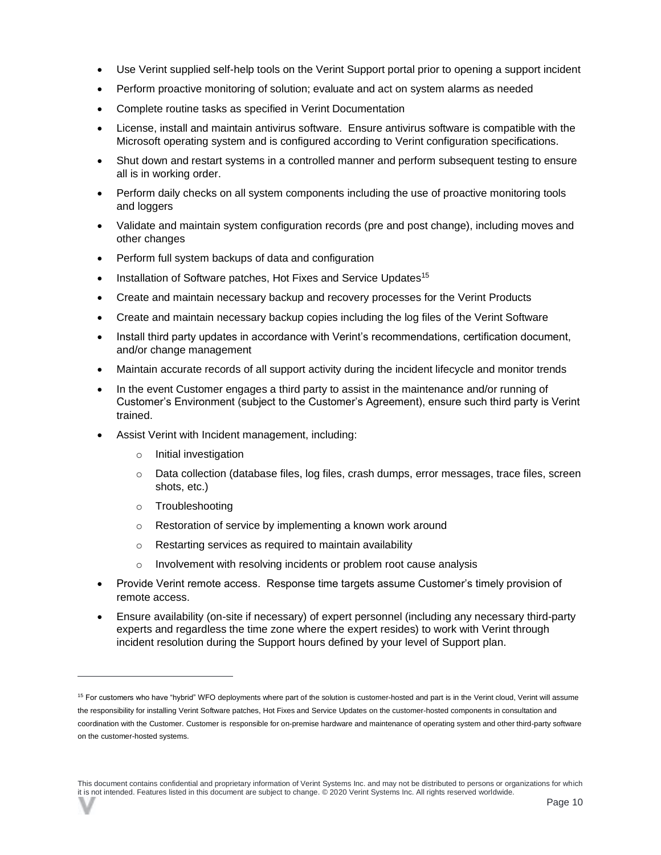- Use Verint supplied self-help tools on the Verint Support portal prior to opening a support incident
- Perform proactive monitoring of solution; evaluate and act on system alarms as needed
- Complete routine tasks as specified in Verint Documentation
- License, install and maintain antivirus software. Ensure antivirus software is compatible with the Microsoft operating system and is configured according to Verint configuration specifications.
- Shut down and restart systems in a controlled manner and perform subsequent testing to ensure all is in working order.
- Perform daily checks on all system components including the use of proactive monitoring tools and loggers
- Validate and maintain system configuration records (pre and post change), including moves and other changes
- Perform full system backups of data and configuration
- Installation of Software patches, Hot Fixes and Service Updates<sup>15</sup>
- Create and maintain necessary backup and recovery processes for the Verint Products
- Create and maintain necessary backup copies including the log files of the Verint Software
- Install third party updates in accordance with Verint's recommendations, certification document, and/or change management
- Maintain accurate records of all support activity during the incident lifecycle and monitor trends
- In the event Customer engages a third party to assist in the maintenance and/or running of Customer's Environment (subject to the Customer's Agreement), ensure such third party is Verint trained.
- Assist Verint with Incident management, including:
	- o Initial investigation
	- $\circ$  Data collection (database files, log files, crash dumps, error messages, trace files, screen shots, etc.)
	- o Troubleshooting
	- o Restoration of service by implementing a known work around
	- o Restarting services as required to maintain availability
	- o Involvement with resolving incidents or problem root cause analysis
- Provide Verint remote access. Response time targets assume Customer's timely provision of remote access.
- Ensure availability (on-site if necessary) of expert personnel (including any necessary third-party experts and regardless the time zone where the expert resides) to work with Verint through incident resolution during the Support hours defined by your level of Support plan.

<sup>&</sup>lt;sup>15</sup> For customers who have "hybrid" WFO deployments where part of the solution is customer-hosted and part is in the Verint cloud, Verint will assume the responsibility for installing Verint Software patches, Hot Fixes and Service Updates on the customer-hosted components in consultation and coordination with the Customer. Customer is responsible for on-premise hardware and maintenance of operating system and other third-party software on the customer-hosted systems.

This document contains confidential and proprietary information of Verint Systems Inc. and may not be distributed to persons or organizations for which it is not intended. Features listed in this document are subject to change. © 2020 Verint Systems Inc. All rights reserved worldwide.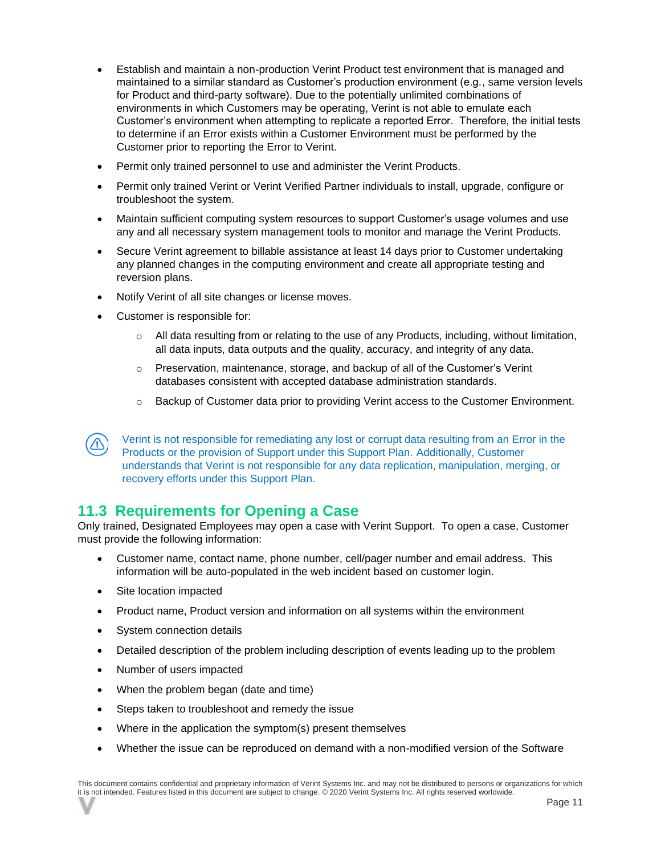- Establish and maintain a non-production Verint Product test environment that is managed and maintained to a similar standard as Customer's production environment (e.g., same version levels for Product and third-party software). Due to the potentially unlimited combinations of environments in which Customers may be operating, Verint is not able to emulate each Customer's environment when attempting to replicate a reported Error. Therefore, the initial tests to determine if an Error exists within a Customer Environment must be performed by the Customer prior to reporting the Error to Verint.
- Permit only trained personnel to use and administer the Verint Products.
- Permit only trained Verint or Verint Verified Partner individuals to install, upgrade, configure or troubleshoot the system.
- Maintain sufficient computing system resources to support Customer's usage volumes and use any and all necessary system management tools to monitor and manage the Verint Products.
- Secure Verint agreement to billable assistance at least 14 days prior to Customer undertaking any planned changes in the computing environment and create all appropriate testing and reversion plans.
- Notify Verint of all site changes or license moves.
- Customer is responsible for:
	- $\circ$  All data resulting from or relating to the use of any Products, including, without limitation, all data inputs, data outputs and the quality, accuracy, and integrity of any data.
	- o Preservation, maintenance, storage, and backup of all of the Customer's Verint databases consistent with accepted database administration standards.
	- $\circ$  Backup of Customer data prior to providing Verint access to the Customer Environment.

Verint is not responsible for remediating any lost or corrupt data resulting from an Error in the Products or the provision of Support under this Support Plan. Additionally, Customer understands that Verint is not responsible for any data replication, manipulation, merging, or recovery efforts under this Support Plan.

#### <span id="page-12-0"></span>**11.3 Requirements for Opening a Case**

Only trained, Designated Employees may open a case with Verint Support. To open a case, Customer must provide the following information:

- Customer name, contact name, phone number, cell/pager number and email address. This information will be auto-populated in the web incident based on customer login.
- Site location impacted
- Product name, Product version and information on all systems within the environment
- System connection details
- Detailed description of the problem including description of events leading up to the problem
- Number of users impacted
- When the problem began (date and time)
- Steps taken to troubleshoot and remedy the issue
- Where in the application the symptom(s) present themselves
- Whether the issue can be reproduced on demand with a non-modified version of the Software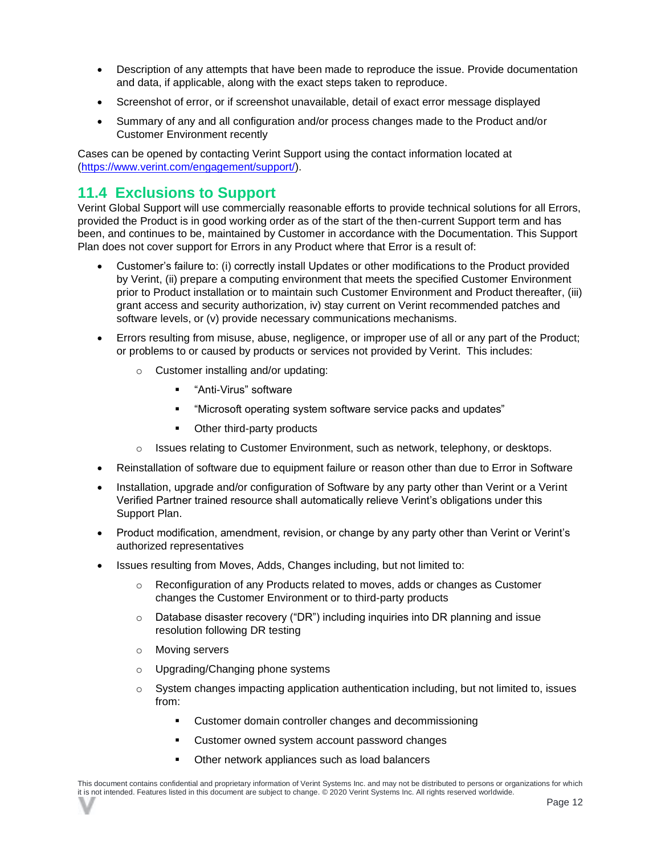- Description of any attempts that have been made to reproduce the issue. Provide documentation and data, if applicable, along with the exact steps taken to reproduce.
- Screenshot of error, or if screenshot unavailable, detail of exact error message displayed
- Summary of any and all configuration and/or process changes made to the Product and/or Customer Environment recently

Cases can be opened by contacting Verint Support using the contact information located at [\(https://www.verint.com/engagement/support/\)](https://www.verint.com/engagement/support/).

#### <span id="page-13-0"></span>**11.4 Exclusions to Support**

Verint Global Support will use commercially reasonable efforts to provide technical solutions for all Errors, provided the Product is in good working order as of the start of the then-current Support term and has been, and continues to be, maintained by Customer in accordance with the Documentation. This Support Plan does not cover support for Errors in any Product where that Error is a result of:

- Customer's failure to: (i) correctly install Updates or other modifications to the Product provided by Verint, (ii) prepare a computing environment that meets the specified Customer Environment prior to Product installation or to maintain such Customer Environment and Product thereafter, (iii) grant access and security authorization, iv) stay current on Verint recommended patches and software levels, or (v) provide necessary communications mechanisms.
- Errors resulting from misuse, abuse, negligence, or improper use of all or any part of the Product; or problems to or caused by products or services not provided by Verint. This includes:
	- o Customer installing and/or updating:
		- "Anti-Virus" software
		- "Microsoft operating system software service packs and updates"
		- Other third-party products
	- $\circ$  Issues relating to Customer Environment, such as network, telephony, or desktops.
- Reinstallation of software due to equipment failure or reason other than due to Error in Software
- Installation, upgrade and/or configuration of Software by any party other than Verint or a Verint Verified Partner trained resource shall automatically relieve Verint's obligations under this Support Plan.
- Product modification, amendment, revision, or change by any party other than Verint or Verint's authorized representatives
- Issues resulting from Moves, Adds, Changes including, but not limited to:
	- $\circ$  Reconfiguration of any Products related to moves, adds or changes as Customer changes the Customer Environment or to third-party products
	- o Database disaster recovery ("DR") including inquiries into DR planning and issue resolution following DR testing
	- o Moving servers
	- o Upgrading/Changing phone systems
	- o System changes impacting application authentication including, but not limited to, issues from:
		- Customer domain controller changes and decommissioning
		- Customer owned system account password changes
		- Other network appliances such as load balancers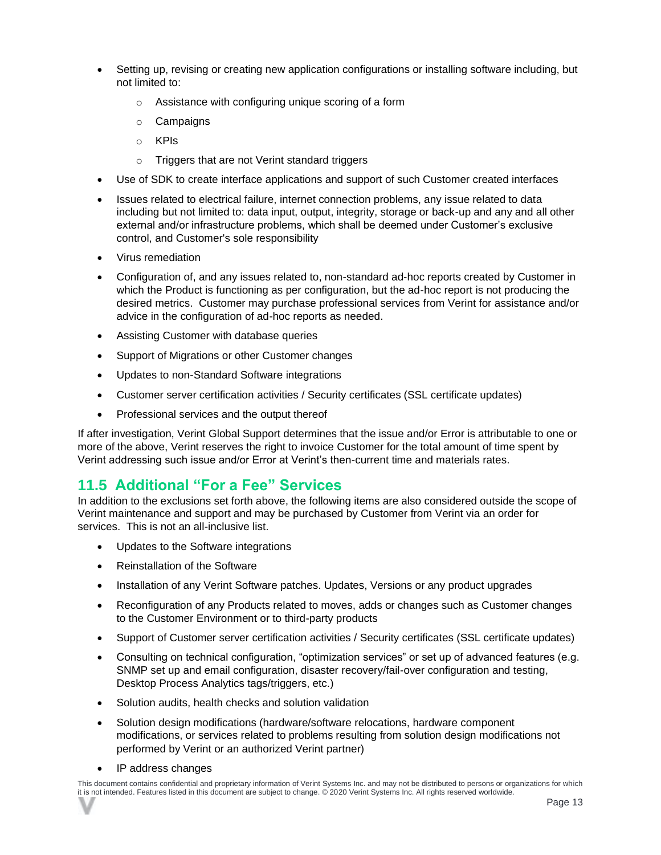- Setting up, revising or creating new application configurations or installing software including, but not limited to:
	- o Assistance with configuring unique scoring of a form
	- o Campaigns
	- o KPIs
	- o Triggers that are not Verint standard triggers
- Use of SDK to create interface applications and support of such Customer created interfaces
- Issues related to electrical failure, internet connection problems, any issue related to data including but not limited to: data input, output, integrity, storage or back-up and any and all other external and/or infrastructure problems, which shall be deemed under Customer's exclusive control, and Customer's sole responsibility
- Virus remediation
- Configuration of, and any issues related to, non-standard ad-hoc reports created by Customer in which the Product is functioning as per configuration, but the ad-hoc report is not producing the desired metrics. Customer may purchase professional services from Verint for assistance and/or advice in the configuration of ad-hoc reports as needed.
- Assisting Customer with database queries
- Support of Migrations or other Customer changes
- Updates to non-Standard Software integrations
- Customer server certification activities / Security certificates (SSL certificate updates)
- Professional services and the output thereof

If after investigation, Verint Global Support determines that the issue and/or Error is attributable to one or more of the above, Verint reserves the right to invoice Customer for the total amount of time spent by Verint addressing such issue and/or Error at Verint's then-current time and materials rates.

#### <span id="page-14-0"></span>**11.5 Additional "For a Fee" Services**

In addition to the exclusions set forth above, the following items are also considered outside the scope of Verint maintenance and support and may be purchased by Customer from Verint via an order for services. This is not an all-inclusive list.

- Updates to the Software integrations
- Reinstallation of the Software
- Installation of any Verint Software patches. Updates, Versions or any product upgrades
- Reconfiguration of any Products related to moves, adds or changes such as Customer changes to the Customer Environment or to third-party products
- Support of Customer server certification activities / Security certificates (SSL certificate updates)
- Consulting on technical configuration, "optimization services" or set up of advanced features (e.g. SNMP set up and email configuration, disaster recovery/fail-over configuration and testing, Desktop Process Analytics tags/triggers, etc.)
- Solution audits, health checks and solution validation
- Solution design modifications (hardware/software relocations, hardware component modifications, or services related to problems resulting from solution design modifications not performed by Verint or an authorized Verint partner)
- IP address changes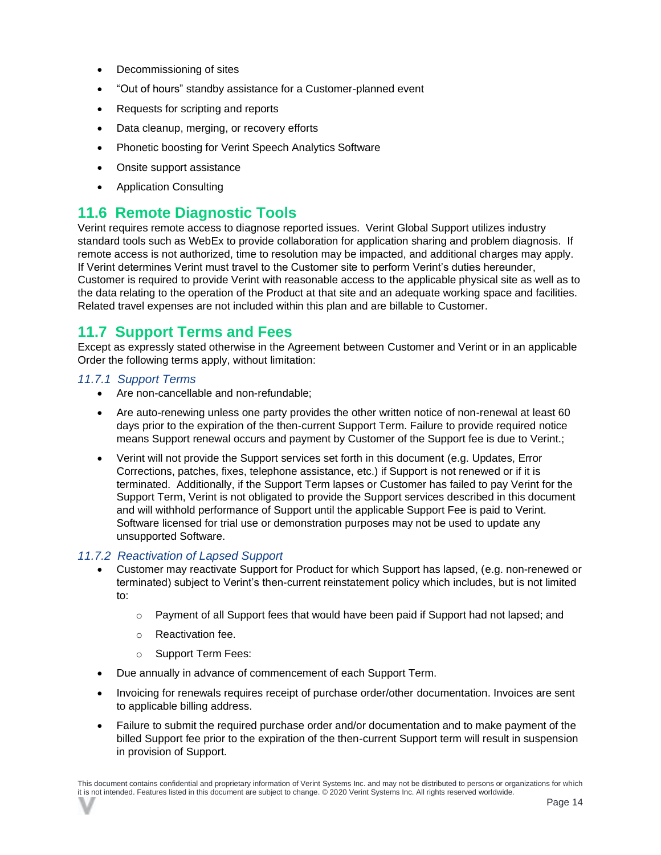- Decommissioning of sites
- "Out of hours" standby assistance for a Customer-planned event
- Requests for scripting and reports
- Data cleanup, merging, or recovery efforts
- Phonetic boosting for Verint Speech Analytics Software
- Onsite support assistance
- Application Consulting

#### <span id="page-15-0"></span>**11.6 Remote Diagnostic Tools**

Verint requires remote access to diagnose reported issues. Verint Global Support utilizes industry standard tools such as WebEx to provide collaboration for application sharing and problem diagnosis. If remote access is not authorized, time to resolution may be impacted, and additional charges may apply. If Verint determines Verint must travel to the Customer site to perform Verint's duties hereunder, Customer is required to provide Verint with reasonable access to the applicable physical site as well as to the data relating to the operation of the Product at that site and an adequate working space and facilities. Related travel expenses are not included within this plan and are billable to Customer.

#### <span id="page-15-1"></span>**11.7 Support Terms and Fees**

Except as expressly stated otherwise in the Agreement between Customer and Verint or in an applicable Order the following terms apply, without limitation:

#### <span id="page-15-2"></span>*11.7.1 Support Terms*

- Are non-cancellable and non-refundable;
- Are auto-renewing unless one party provides the other written notice of non-renewal at least 60 days prior to the expiration of the then-current Support Term. Failure to provide required notice means Support renewal occurs and payment by Customer of the Support fee is due to Verint.;
- Verint will not provide the Support services set forth in this document (e.g. Updates, Error Corrections, patches, fixes, telephone assistance, etc.) if Support is not renewed or if it is terminated. Additionally, if the Support Term lapses or Customer has failed to pay Verint for the Support Term, Verint is not obligated to provide the Support services described in this document and will withhold performance of Support until the applicable Support Fee is paid to Verint. Software licensed for trial use or demonstration purposes may not be used to update any unsupported Software.

#### <span id="page-15-3"></span>*11.7.2 Reactivation of Lapsed Support*

- Customer may reactivate Support for Product for which Support has lapsed, (e.g. non-renewed or terminated) subject to Verint's then-current reinstatement policy which includes, but is not limited to:
	- $\circ$  Payment of all Support fees that would have been paid if Support had not lapsed; and
	- o Reactivation fee.
	- o Support Term Fees:
- Due annually in advance of commencement of each Support Term.
- Invoicing for renewals requires receipt of purchase order/other documentation. Invoices are sent to applicable billing address.
- Failure to submit the required purchase order and/or documentation and to make payment of the billed Support fee prior to the expiration of the then-current Support term will result in suspension in provision of Support.